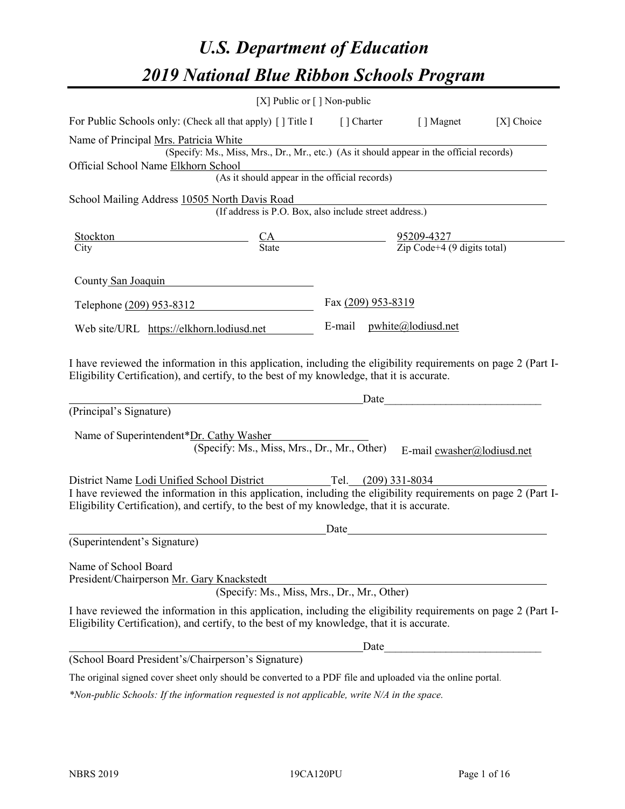# *U.S. Department of Education 2019 National Blue Ribbon Schools Program*

|                                                                                                                                                                                                              | [X] Public or $\lceil$ ] Non-public                                                      |                    |                                                                                                                                                                                                                                                              |            |
|--------------------------------------------------------------------------------------------------------------------------------------------------------------------------------------------------------------|------------------------------------------------------------------------------------------|--------------------|--------------------------------------------------------------------------------------------------------------------------------------------------------------------------------------------------------------------------------------------------------------|------------|
| For Public Schools only: (Check all that apply) [ ] Title I [ ] Charter                                                                                                                                      |                                                                                          |                    | [ ] Magnet                                                                                                                                                                                                                                                   | [X] Choice |
| Name of Principal Mrs. Patricia White                                                                                                                                                                        |                                                                                          |                    |                                                                                                                                                                                                                                                              |            |
| Official School Name Elkhorn School                                                                                                                                                                          | (Specify: Ms., Miss, Mrs., Dr., Mr., etc.) (As it should appear in the official records) |                    |                                                                                                                                                                                                                                                              |            |
|                                                                                                                                                                                                              | (As it should appear in the official records)                                            |                    |                                                                                                                                                                                                                                                              |            |
| School Mailing Address 10505 North Davis Road                                                                                                                                                                |                                                                                          |                    |                                                                                                                                                                                                                                                              |            |
|                                                                                                                                                                                                              | (If address is P.O. Box, also include street address.)                                   |                    |                                                                                                                                                                                                                                                              |            |
| <b>Stockton</b>                                                                                                                                                                                              |                                                                                          |                    | $\frac{CA}{State}$ $\frac{95209-4327}{Zip Code+4 (9 digits total)}$                                                                                                                                                                                          |            |
| City                                                                                                                                                                                                         |                                                                                          |                    |                                                                                                                                                                                                                                                              |            |
| County San Joaquin                                                                                                                                                                                           |                                                                                          |                    |                                                                                                                                                                                                                                                              |            |
| Telephone (209) 953-8312                                                                                                                                                                                     |                                                                                          | Fax (209) 953-8319 |                                                                                                                                                                                                                                                              |            |
| Web site/URL https://elkhorn.lodiusd.net                                                                                                                                                                     |                                                                                          |                    | E-mail pwhite@lodiusd.net                                                                                                                                                                                                                                    |            |
| (Principal's Signature)<br>Name of Superintendent*Dr. Cathy Washer                                                                                                                                           | (Specify: Ms., Miss, Mrs., Dr., Mr., Other)                                              |                    | Date and the contract of the contract of the contract of the contract of the contract of the contract of the contract of the contract of the contract of the contract of the contract of the contract of the contract of the c<br>E-mail cwasher@lodiusd.net |            |
| District Name Lodi Unified School District Tel. (209) 331-8034                                                                                                                                               |                                                                                          |                    |                                                                                                                                                                                                                                                              |            |
| I have reviewed the information in this application, including the eligibility requirements on page 2 (Part I-<br>Eligibility Certification), and certify, to the best of my knowledge, that it is accurate. |                                                                                          |                    |                                                                                                                                                                                                                                                              |            |
|                                                                                                                                                                                                              |                                                                                          | Date               |                                                                                                                                                                                                                                                              |            |
| (Superintendent's Signature)                                                                                                                                                                                 |                                                                                          |                    |                                                                                                                                                                                                                                                              |            |
| Name of School Board<br>President/Chairperson Mr. Gary Knackstedt                                                                                                                                            | (Specify: Ms., Miss, Mrs., Dr., Mr., Other)                                              |                    |                                                                                                                                                                                                                                                              |            |
| I have reviewed the information in this application, including the eligibility requirements on page 2 (Part I-<br>Eligibility Certification), and certify, to the best of my knowledge, that it is accurate. |                                                                                          |                    |                                                                                                                                                                                                                                                              |            |
|                                                                                                                                                                                                              |                                                                                          | Date               |                                                                                                                                                                                                                                                              |            |
| (School Board President's/Chairperson's Signature)                                                                                                                                                           |                                                                                          |                    |                                                                                                                                                                                                                                                              |            |
| The original signed cover sheet only should be converted to a PDF file and uploaded via the online portal.                                                                                                   |                                                                                          |                    |                                                                                                                                                                                                                                                              |            |

*\*Non-public Schools: If the information requested is not applicable, write N/A in the space.*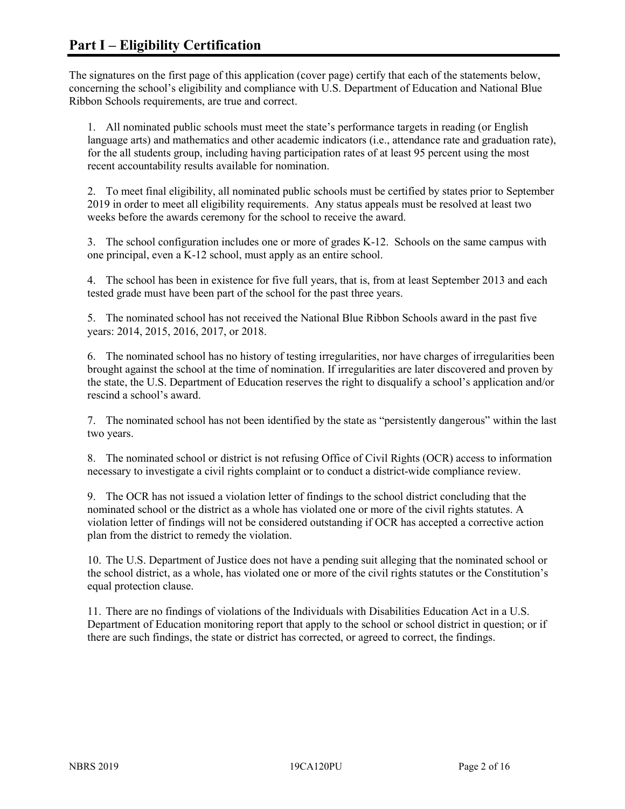The signatures on the first page of this application (cover page) certify that each of the statements below, concerning the school's eligibility and compliance with U.S. Department of Education and National Blue Ribbon Schools requirements, are true and correct.

1. All nominated public schools must meet the state's performance targets in reading (or English language arts) and mathematics and other academic indicators (i.e., attendance rate and graduation rate), for the all students group, including having participation rates of at least 95 percent using the most recent accountability results available for nomination.

2. To meet final eligibility, all nominated public schools must be certified by states prior to September 2019 in order to meet all eligibility requirements. Any status appeals must be resolved at least two weeks before the awards ceremony for the school to receive the award.

3. The school configuration includes one or more of grades K-12. Schools on the same campus with one principal, even a K-12 school, must apply as an entire school.

4. The school has been in existence for five full years, that is, from at least September 2013 and each tested grade must have been part of the school for the past three years.

5. The nominated school has not received the National Blue Ribbon Schools award in the past five years: 2014, 2015, 2016, 2017, or 2018.

6. The nominated school has no history of testing irregularities, nor have charges of irregularities been brought against the school at the time of nomination. If irregularities are later discovered and proven by the state, the U.S. Department of Education reserves the right to disqualify a school's application and/or rescind a school's award.

7. The nominated school has not been identified by the state as "persistently dangerous" within the last two years.

8. The nominated school or district is not refusing Office of Civil Rights (OCR) access to information necessary to investigate a civil rights complaint or to conduct a district-wide compliance review.

9. The OCR has not issued a violation letter of findings to the school district concluding that the nominated school or the district as a whole has violated one or more of the civil rights statutes. A violation letter of findings will not be considered outstanding if OCR has accepted a corrective action plan from the district to remedy the violation.

10. The U.S. Department of Justice does not have a pending suit alleging that the nominated school or the school district, as a whole, has violated one or more of the civil rights statutes or the Constitution's equal protection clause.

11. There are no findings of violations of the Individuals with Disabilities Education Act in a U.S. Department of Education monitoring report that apply to the school or school district in question; or if there are such findings, the state or district has corrected, or agreed to correct, the findings.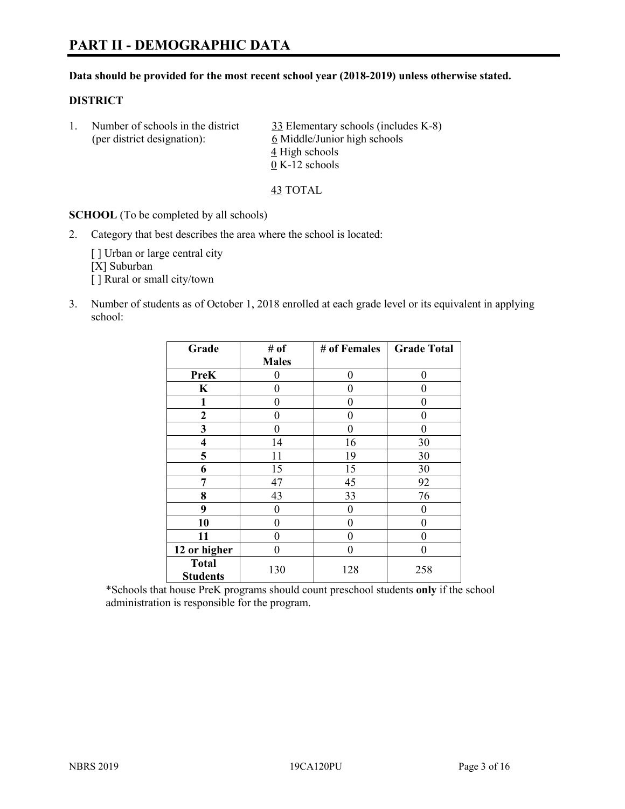#### **Data should be provided for the most recent school year (2018-2019) unless otherwise stated.**

#### **DISTRICT**

| Number of schools in the district | 33 Elementary schools (includes K-8) |
|-----------------------------------|--------------------------------------|
| (per district designation):       | 6 Middle/Junior high schools         |
|                                   | 4 High schools                       |
|                                   | $0 K-12$ schools                     |

43 TOTAL

**SCHOOL** (To be completed by all schools)

2. Category that best describes the area where the school is located:

[] Urban or large central city [X] Suburban [] Rural or small city/town

3. Number of students as of October 1, 2018 enrolled at each grade level or its equivalent in applying school:

| Grade                           | # of         | # of Females | <b>Grade Total</b> |
|---------------------------------|--------------|--------------|--------------------|
|                                 | <b>Males</b> |              |                    |
| <b>PreK</b>                     | 0            | 0            | 0                  |
| $\mathbf K$                     | 0            | 0            | 0                  |
| 1                               | 0            | 0            | 0                  |
| 2                               | 0            | 0            | 0                  |
| 3                               | 0            | 0            | 0                  |
| $\overline{\mathbf{4}}$         | 14           | 16           | 30                 |
| 5                               | 11           | 19           | 30                 |
| 6                               | 15           | 15           | 30                 |
| 7                               | 47           | 45           | 92                 |
| 8                               | 43           | 33           | 76                 |
| 9                               | 0            | $\theta$     | 0                  |
| 10                              | 0            | 0            | 0                  |
| 11                              | $\theta$     | 0            | 0                  |
| 12 or higher                    | 0            | 0            | 0                  |
| <b>Total</b><br><b>Students</b> | 130          | 128          | 258                |

\*Schools that house PreK programs should count preschool students **only** if the school administration is responsible for the program.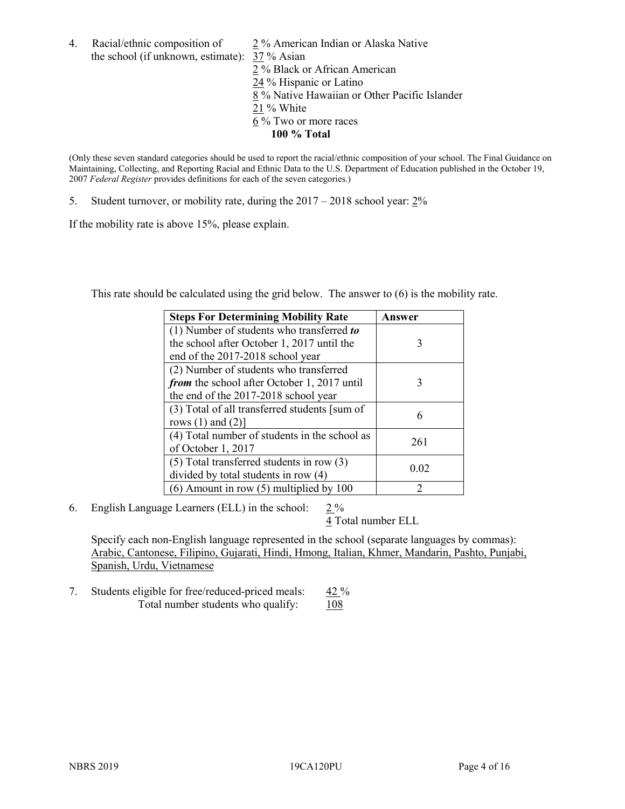- 4. Racial/ethnic composition of  $\qquad 2\%$  American Indian or Alaska Native the school (if unknown, estimate): 37 % Asian 2 % Black or African American  $\frac{24}{24}$ % Hispanic or Latino 8 % Native Hawaiian or Other Pacific Islander 21 % White
	- 6 % Two or more races
		- **100 % Total**

(Only these seven standard categories should be used to report the racial/ethnic composition of your school. The Final Guidance on Maintaining, Collecting, and Reporting Racial and Ethnic Data to the U.S. Department of Education published in the October 19, 2007 *Federal Register* provides definitions for each of the seven categories.)

5. Student turnover, or mobility rate, during the 2017 – 2018 school year: 2%

If the mobility rate is above 15%, please explain.

This rate should be calculated using the grid below. The answer to (6) is the mobility rate.

| <b>Steps For Determining Mobility Rate</b>    | Answer         |
|-----------------------------------------------|----------------|
| (1) Number of students who transferred to     |                |
| the school after October 1, 2017 until the    | 3              |
| end of the 2017-2018 school year              |                |
| (2) Number of students who transferred        |                |
| from the school after October 1, 2017 until   | 3              |
| the end of the 2017-2018 school year          |                |
| (3) Total of all transferred students [sum of | 6              |
| rows $(1)$ and $(2)$ ]                        |                |
| (4) Total number of students in the school as | 261            |
| of October 1, 2017                            |                |
| $(5)$ Total transferred students in row $(3)$ | 0.02           |
| divided by total students in row (4)          |                |
| $(6)$ Amount in row $(5)$ multiplied by 100   | $\mathfrak{D}$ |

6. English Language Learners (ELL) in the school:  $2\%$ 

4 Total number ELL

Specify each non-English language represented in the school (separate languages by commas): Arabic, Cantonese, Filipino, Gujarati, Hindi, Hmong, Italian, Khmer, Mandarin, Pashto, Punjabi, Spanish, Urdu, Vietnamese

7. Students eligible for free/reduced-priced meals: 42 % Total number students who qualify: 108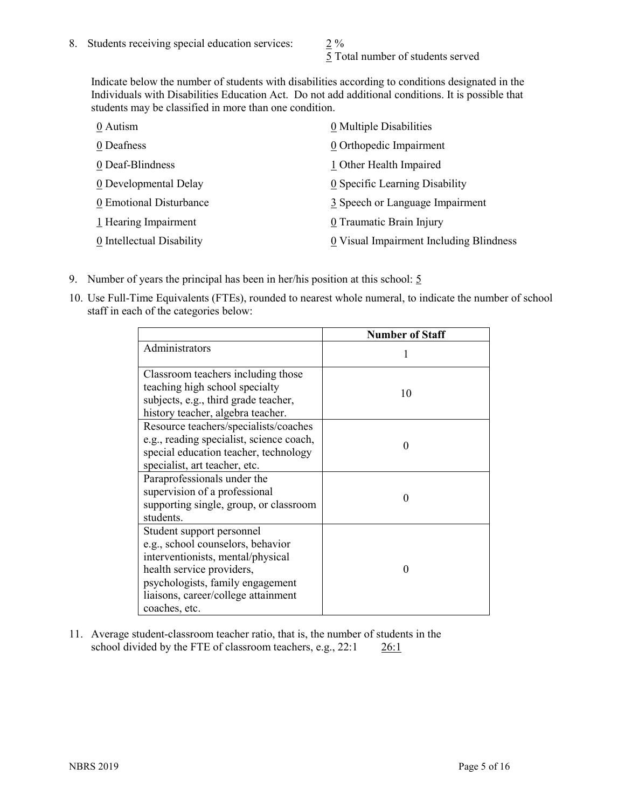5 Total number of students served

Indicate below the number of students with disabilities according to conditions designated in the Individuals with Disabilities Education Act. Do not add additional conditions. It is possible that students may be classified in more than one condition.

| 0 Autism                  | 0 Multiple Disabilities                 |
|---------------------------|-----------------------------------------|
| 0 Deafness                | 0 Orthopedic Impairment                 |
| 0 Deaf-Blindness          | 1 Other Health Impaired                 |
| 0 Developmental Delay     | 0 Specific Learning Disability          |
| 0 Emotional Disturbance   | 3 Speech or Language Impairment         |
| 1 Hearing Impairment      | 0 Traumatic Brain Injury                |
| 0 Intellectual Disability | 0 Visual Impairment Including Blindness |

- 9. Number of years the principal has been in her/his position at this school:  $5$
- 10. Use Full-Time Equivalents (FTEs), rounded to nearest whole numeral, to indicate the number of school staff in each of the categories below:

|                                                                                                                                                                                                                              | <b>Number of Staff</b> |
|------------------------------------------------------------------------------------------------------------------------------------------------------------------------------------------------------------------------------|------------------------|
| Administrators                                                                                                                                                                                                               |                        |
| Classroom teachers including those<br>teaching high school specialty<br>subjects, e.g., third grade teacher,<br>history teacher, algebra teacher.                                                                            | 10                     |
| Resource teachers/specialists/coaches<br>e.g., reading specialist, science coach,<br>special education teacher, technology<br>specialist, art teacher, etc.                                                                  |                        |
| Paraprofessionals under the<br>supervision of a professional<br>supporting single, group, or classroom<br>students.                                                                                                          | $\mathbf{\Omega}$      |
| Student support personnel<br>e.g., school counselors, behavior<br>interventionists, mental/physical<br>health service providers,<br>psychologists, family engagement<br>liaisons, career/college attainment<br>coaches, etc. | $\mathbf{\Omega}$      |

11. Average student-classroom teacher ratio, that is, the number of students in the school divided by the FTE of classroom teachers, e.g., 22:1 26:1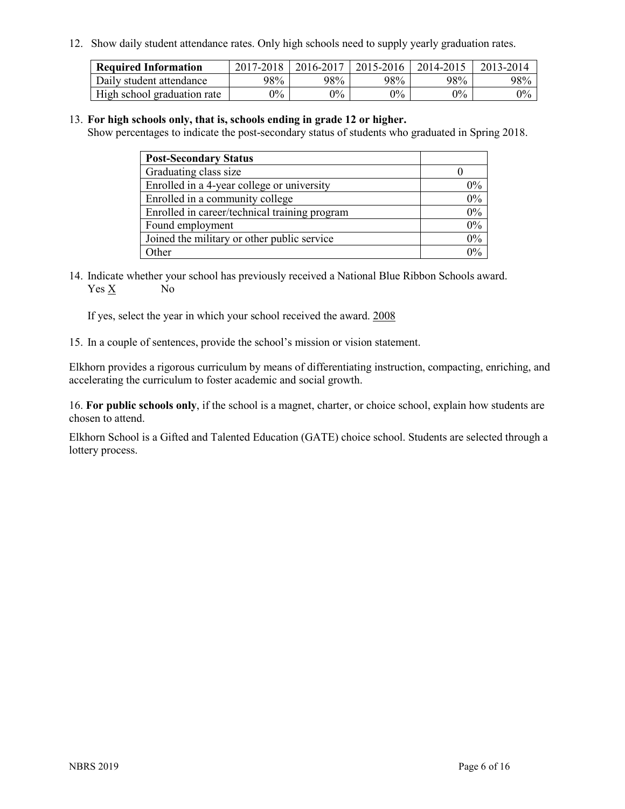12. Show daily student attendance rates. Only high schools need to supply yearly graduation rates.

| <b>Required Information</b> | 2017-2018 | 2016-2017 | $2015 - 2016$ | 2014-2015 | 2013-2014 |
|-----------------------------|-----------|-----------|---------------|-----------|-----------|
| Daily student attendance    | 98%       | 98%       | 98%           | 98%       | 98%       |
| High school graduation rate | $0\%$     | $0\%$     | $0\%$         | $9\%$     | $0\%$     |

#### 13. **For high schools only, that is, schools ending in grade 12 or higher.**

Show percentages to indicate the post-secondary status of students who graduated in Spring 2018.

| <b>Post-Secondary Status</b>                  |          |
|-----------------------------------------------|----------|
| Graduating class size                         |          |
| Enrolled in a 4-year college or university    | $0\%$    |
| Enrolled in a community college               | 0%       |
| Enrolled in career/technical training program | $0\%$    |
| Found employment                              | 0%       |
| Joined the military or other public service   | 0%       |
| Other                                         | $\gamma$ |

14. Indicate whether your school has previously received a National Blue Ribbon Schools award. Yes X No

If yes, select the year in which your school received the award. 2008

15. In a couple of sentences, provide the school's mission or vision statement.

Elkhorn provides a rigorous curriculum by means of differentiating instruction, compacting, enriching, and accelerating the curriculum to foster academic and social growth.

16. **For public schools only**, if the school is a magnet, charter, or choice school, explain how students are chosen to attend.

Elkhorn School is a Gifted and Talented Education (GATE) choice school. Students are selected through a lottery process.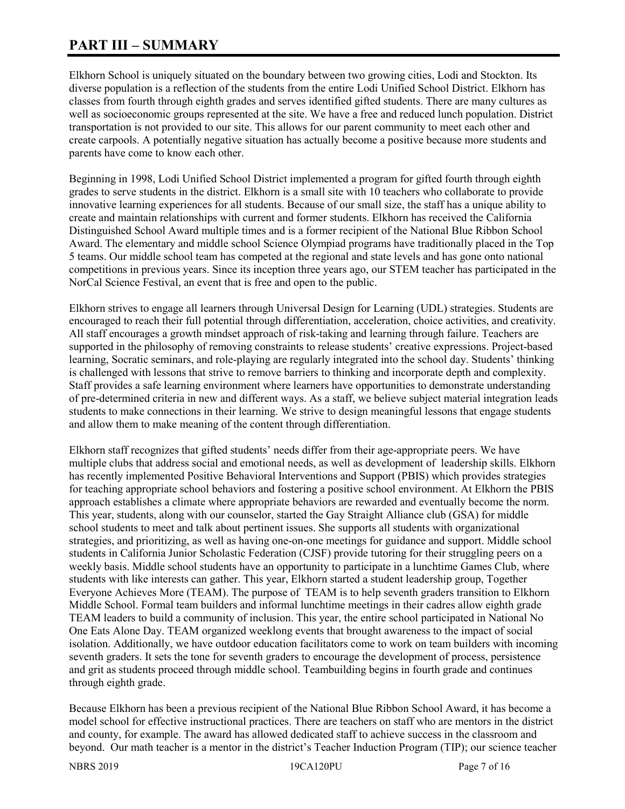# **PART III – SUMMARY**

Elkhorn School is uniquely situated on the boundary between two growing cities, Lodi and Stockton. Its diverse population is a reflection of the students from the entire Lodi Unified School District. Elkhorn has classes from fourth through eighth grades and serves identified gifted students. There are many cultures as well as socioeconomic groups represented at the site. We have a free and reduced lunch population. District transportation is not provided to our site. This allows for our parent community to meet each other and create carpools. A potentially negative situation has actually become a positive because more students and parents have come to know each other.

Beginning in 1998, Lodi Unified School District implemented a program for gifted fourth through eighth grades to serve students in the district. Elkhorn is a small site with 10 teachers who collaborate to provide innovative learning experiences for all students. Because of our small size, the staff has a unique ability to create and maintain relationships with current and former students. Elkhorn has received the California Distinguished School Award multiple times and is a former recipient of the National Blue Ribbon School Award. The elementary and middle school Science Olympiad programs have traditionally placed in the Top 5 teams. Our middle school team has competed at the regional and state levels and has gone onto national competitions in previous years. Since its inception three years ago, our STEM teacher has participated in the NorCal Science Festival, an event that is free and open to the public.

Elkhorn strives to engage all learners through Universal Design for Learning (UDL) strategies. Students are encouraged to reach their full potential through differentiation, acceleration, choice activities, and creativity. All staff encourages a growth mindset approach of risk-taking and learning through failure. Teachers are supported in the philosophy of removing constraints to release students' creative expressions. Project-based learning, Socratic seminars, and role-playing are regularly integrated into the school day. Students' thinking is challenged with lessons that strive to remove barriers to thinking and incorporate depth and complexity. Staff provides a safe learning environment where learners have opportunities to demonstrate understanding of pre-determined criteria in new and different ways. As a staff, we believe subject material integration leads students to make connections in their learning. We strive to design meaningful lessons that engage students and allow them to make meaning of the content through differentiation.

Elkhorn staff recognizes that gifted students' needs differ from their age-appropriate peers. We have multiple clubs that address social and emotional needs, as well as development of leadership skills. Elkhorn has recently implemented Positive Behavioral Interventions and Support (PBIS) which provides strategies for teaching appropriate school behaviors and fostering a positive school environment. At Elkhorn the PBIS approach establishes a climate where appropriate behaviors are rewarded and eventually become the norm. This year, students, along with our counselor, started the Gay Straight Alliance club (GSA) for middle school students to meet and talk about pertinent issues. She supports all students with organizational strategies, and prioritizing, as well as having one-on-one meetings for guidance and support. Middle school students in California Junior Scholastic Federation (CJSF) provide tutoring for their struggling peers on a weekly basis. Middle school students have an opportunity to participate in a lunchtime Games Club, where students with like interests can gather. This year, Elkhorn started a student leadership group, Together Everyone Achieves More (TEAM). The purpose of TEAM is to help seventh graders transition to Elkhorn Middle School. Formal team builders and informal lunchtime meetings in their cadres allow eighth grade TEAM leaders to build a community of inclusion. This year, the entire school participated in National No One Eats Alone Day. TEAM organized weeklong events that brought awareness to the impact of social isolation. Additionally, we have outdoor education facilitators come to work on team builders with incoming seventh graders. It sets the tone for seventh graders to encourage the development of process, persistence and grit as students proceed through middle school. Teambuilding begins in fourth grade and continues through eighth grade.

Because Elkhorn has been a previous recipient of the National Blue Ribbon School Award, it has become a model school for effective instructional practices. There are teachers on staff who are mentors in the district and county, for example. The award has allowed dedicated staff to achieve success in the classroom and beyond. Our math teacher is a mentor in the district's Teacher Induction Program (TIP); our science teacher

NBRS 2019 19CA120PU Page 7 of 16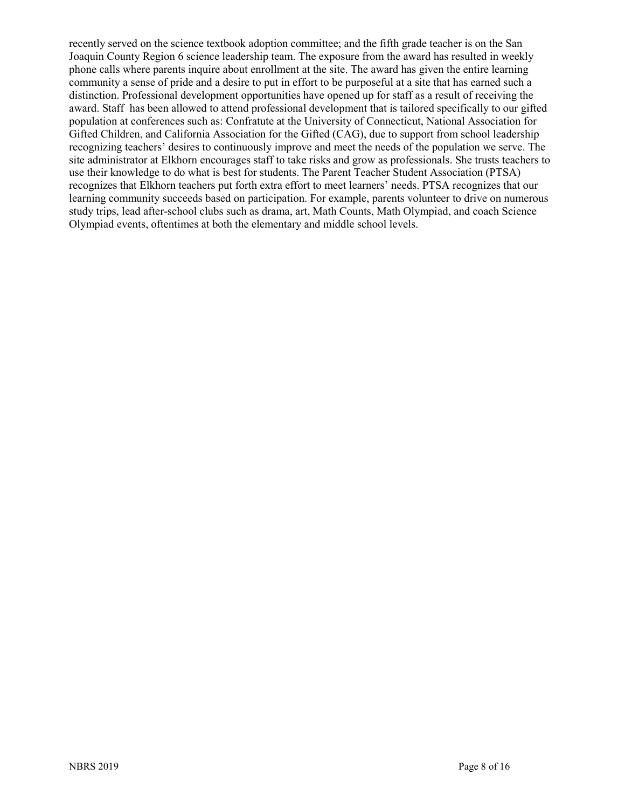recently served on the science textbook adoption committee; and the fifth grade teacher is on the San Joaquin County Region 6 science leadership team. The exposure from the award has resulted in weekly phone calls where parents inquire about enrollment at the site. The award has given the entire learning community a sense of pride and a desire to put in effort to be purposeful at a site that has earned such a distinction. Professional development opportunities have opened up for staff as a result of receiving the award. Staff has been allowed to attend professional development that is tailored specifically to our gifted population at conferences such as: Confratute at the University of Connecticut, National Association for Gifted Children, and California Association for the Gifted (CAG), due to support from school leadership recognizing teachers' desires to continuously improve and meet the needs of the population we serve. The site administrator at Elkhorn encourages staff to take risks and grow as professionals. She trusts teachers to use their knowledge to do what is best for students. The Parent Teacher Student Association (PTSA) recognizes that Elkhorn teachers put forth extra effort to meet learners' needs. PTSA recognizes that our learning community succeeds based on participation. For example, parents volunteer to drive on numerous study trips, lead after-school clubs such as drama, art, Math Counts, Math Olympiad, and coach Science Olympiad events, oftentimes at both the elementary and middle school levels.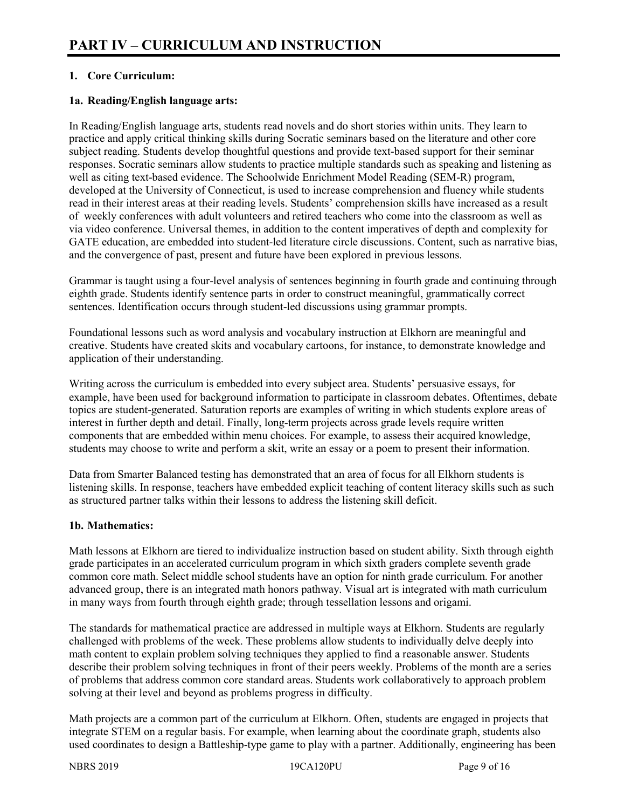# **1. Core Curriculum:**

## **1a. Reading/English language arts:**

In Reading/English language arts, students read novels and do short stories within units. They learn to practice and apply critical thinking skills during Socratic seminars based on the literature and other core subject reading. Students develop thoughtful questions and provide text-based support for their seminar responses. Socratic seminars allow students to practice multiple standards such as speaking and listening as well as citing text-based evidence. The Schoolwide Enrichment Model Reading (SEM-R) program, developed at the University of Connecticut, is used to increase comprehension and fluency while students read in their interest areas at their reading levels. Students' comprehension skills have increased as a result of weekly conferences with adult volunteers and retired teachers who come into the classroom as well as via video conference. Universal themes, in addition to the content imperatives of depth and complexity for GATE education, are embedded into student-led literature circle discussions. Content, such as narrative bias, and the convergence of past, present and future have been explored in previous lessons.

Grammar is taught using a four-level analysis of sentences beginning in fourth grade and continuing through eighth grade. Students identify sentence parts in order to construct meaningful, grammatically correct sentences. Identification occurs through student-led discussions using grammar prompts.

Foundational lessons such as word analysis and vocabulary instruction at Elkhorn are meaningful and creative. Students have created skits and vocabulary cartoons, for instance, to demonstrate knowledge and application of their understanding.

Writing across the curriculum is embedded into every subject area. Students' persuasive essays, for example, have been used for background information to participate in classroom debates. Oftentimes, debate topics are student-generated. Saturation reports are examples of writing in which students explore areas of interest in further depth and detail. Finally, long-term projects across grade levels require written components that are embedded within menu choices. For example, to assess their acquired knowledge, students may choose to write and perform a skit, write an essay or a poem to present their information.

Data from Smarter Balanced testing has demonstrated that an area of focus for all Elkhorn students is listening skills. In response, teachers have embedded explicit teaching of content literacy skills such as such as structured partner talks within their lessons to address the listening skill deficit.

# **1b. Mathematics:**

Math lessons at Elkhorn are tiered to individualize instruction based on student ability. Sixth through eighth grade participates in an accelerated curriculum program in which sixth graders complete seventh grade common core math. Select middle school students have an option for ninth grade curriculum. For another advanced group, there is an integrated math honors pathway. Visual art is integrated with math curriculum in many ways from fourth through eighth grade; through tessellation lessons and origami.

The standards for mathematical practice are addressed in multiple ways at Elkhorn. Students are regularly challenged with problems of the week. These problems allow students to individually delve deeply into math content to explain problem solving techniques they applied to find a reasonable answer. Students describe their problem solving techniques in front of their peers weekly. Problems of the month are a series of problems that address common core standard areas. Students work collaboratively to approach problem solving at their level and beyond as problems progress in difficulty.

Math projects are a common part of the curriculum at Elkhorn. Often, students are engaged in projects that integrate STEM on a regular basis. For example, when learning about the coordinate graph, students also used coordinates to design a Battleship-type game to play with a partner. Additionally, engineering has been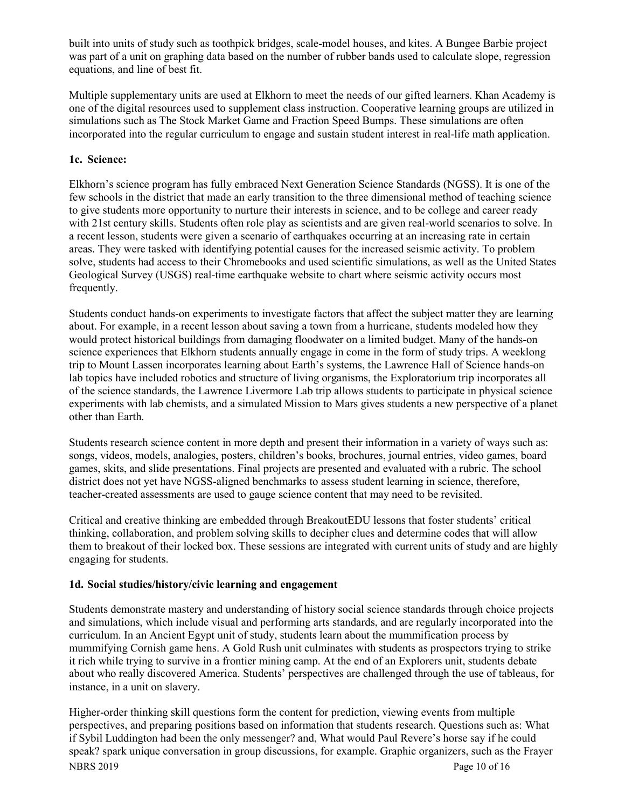built into units of study such as toothpick bridges, scale-model houses, and kites. A Bungee Barbie project was part of a unit on graphing data based on the number of rubber bands used to calculate slope, regression equations, and line of best fit.

Multiple supplementary units are used at Elkhorn to meet the needs of our gifted learners. Khan Academy is one of the digital resources used to supplement class instruction. Cooperative learning groups are utilized in simulations such as The Stock Market Game and Fraction Speed Bumps. These simulations are often incorporated into the regular curriculum to engage and sustain student interest in real-life math application.

# **1c. Science:**

Elkhorn's science program has fully embraced Next Generation Science Standards (NGSS). It is one of the few schools in the district that made an early transition to the three dimensional method of teaching science to give students more opportunity to nurture their interests in science, and to be college and career ready with 21st century skills. Students often role play as scientists and are given real-world scenarios to solve. In a recent lesson, students were given a scenario of earthquakes occurring at an increasing rate in certain areas. They were tasked with identifying potential causes for the increased seismic activity. To problem solve, students had access to their Chromebooks and used scientific simulations, as well as the United States Geological Survey (USGS) real-time earthquake website to chart where seismic activity occurs most frequently.

Students conduct hands-on experiments to investigate factors that affect the subject matter they are learning about. For example, in a recent lesson about saving a town from a hurricane, students modeled how they would protect historical buildings from damaging floodwater on a limited budget. Many of the hands-on science experiences that Elkhorn students annually engage in come in the form of study trips. A weeklong trip to Mount Lassen incorporates learning about Earth's systems, the Lawrence Hall of Science hands-on lab topics have included robotics and structure of living organisms, the Exploratorium trip incorporates all of the science standards, the Lawrence Livermore Lab trip allows students to participate in physical science experiments with lab chemists, and a simulated Mission to Mars gives students a new perspective of a planet other than Earth.

Students research science content in more depth and present their information in a variety of ways such as: songs, videos, models, analogies, posters, children's books, brochures, journal entries, video games, board games, skits, and slide presentations. Final projects are presented and evaluated with a rubric. The school district does not yet have NGSS-aligned benchmarks to assess student learning in science, therefore, teacher-created assessments are used to gauge science content that may need to be revisited.

Critical and creative thinking are embedded through BreakoutEDU lessons that foster students' critical thinking, collaboration, and problem solving skills to decipher clues and determine codes that will allow them to breakout of their locked box. These sessions are integrated with current units of study and are highly engaging for students.

# **1d. Social studies/history/civic learning and engagement**

Students demonstrate mastery and understanding of history social science standards through choice projects and simulations, which include visual and performing arts standards, and are regularly incorporated into the curriculum. In an Ancient Egypt unit of study, students learn about the mummification process by mummifying Cornish game hens. A Gold Rush unit culminates with students as prospectors trying to strike it rich while trying to survive in a frontier mining camp. At the end of an Explorers unit, students debate about who really discovered America. Students' perspectives are challenged through the use of tableaus, for instance, in a unit on slavery.

NBRS 2019 Page 10 of 16 Higher-order thinking skill questions form the content for prediction, viewing events from multiple perspectives, and preparing positions based on information that students research. Questions such as: What if Sybil Luddington had been the only messenger? and, What would Paul Revere's horse say if he could speak? spark unique conversation in group discussions, for example. Graphic organizers, such as the Frayer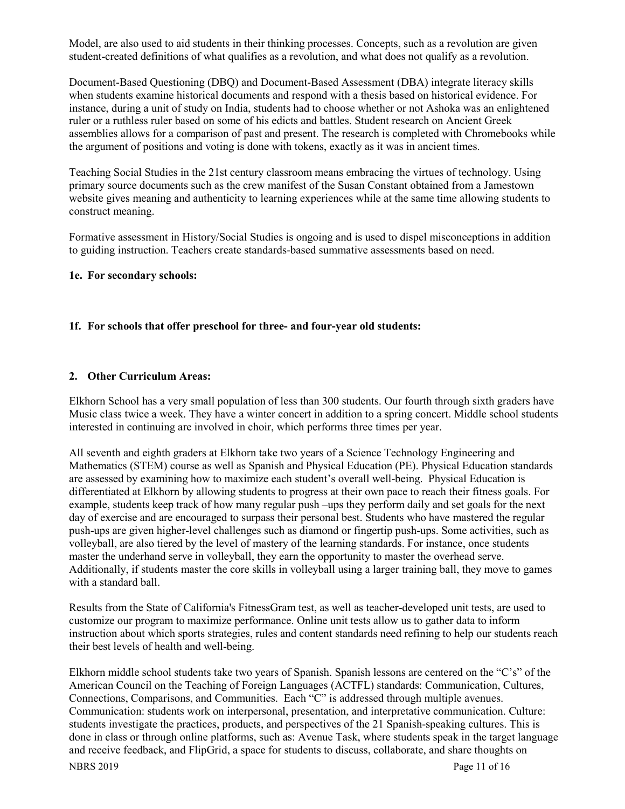Model, are also used to aid students in their thinking processes. Concepts, such as a revolution are given student-created definitions of what qualifies as a revolution, and what does not qualify as a revolution.

Document-Based Questioning (DBQ) and Document-Based Assessment (DBA) integrate literacy skills when students examine historical documents and respond with a thesis based on historical evidence. For instance, during a unit of study on India, students had to choose whether or not Ashoka was an enlightened ruler or a ruthless ruler based on some of his edicts and battles. Student research on Ancient Greek assemblies allows for a comparison of past and present. The research is completed with Chromebooks while the argument of positions and voting is done with tokens, exactly as it was in ancient times.

Teaching Social Studies in the 21st century classroom means embracing the virtues of technology. Using primary source documents such as the crew manifest of the Susan Constant obtained from a Jamestown website gives meaning and authenticity to learning experiences while at the same time allowing students to construct meaning.

Formative assessment in History/Social Studies is ongoing and is used to dispel misconceptions in addition to guiding instruction. Teachers create standards-based summative assessments based on need.

#### **1e. For secondary schools:**

#### **1f. For schools that offer preschool for three- and four-year old students:**

#### **2. Other Curriculum Areas:**

Elkhorn School has a very small population of less than 300 students. Our fourth through sixth graders have Music class twice a week. They have a winter concert in addition to a spring concert. Middle school students interested in continuing are involved in choir, which performs three times per year.

All seventh and eighth graders at Elkhorn take two years of a Science Technology Engineering and Mathematics (STEM) course as well as Spanish and Physical Education (PE). Physical Education standards are assessed by examining how to maximize each student's overall well-being. Physical Education is differentiated at Elkhorn by allowing students to progress at their own pace to reach their fitness goals. For example, students keep track of how many regular push –ups they perform daily and set goals for the next day of exercise and are encouraged to surpass their personal best. Students who have mastered the regular push-ups are given higher-level challenges such as diamond or fingertip push-ups. Some activities, such as volleyball, are also tiered by the level of mastery of the learning standards. For instance, once students master the underhand serve in volleyball, they earn the opportunity to master the overhead serve. Additionally, if students master the core skills in volleyball using a larger training ball, they move to games with a standard ball.

Results from the State of California's FitnessGram test, as well as teacher-developed unit tests, are used to customize our program to maximize performance. Online unit tests allow us to gather data to inform instruction about which sports strategies, rules and content standards need refining to help our students reach their best levels of health and well-being.

Elkhorn middle school students take two years of Spanish. Spanish lessons are centered on the "C's" of the American Council on the Teaching of Foreign Languages (ACTFL) standards: Communication, Cultures, Connections, Comparisons, and Communities. Each "C" is addressed through multiple avenues. Communication: students work on interpersonal, presentation, and interpretative communication. Culture: students investigate the practices, products, and perspectives of the 21 Spanish-speaking cultures. This is done in class or through online platforms, such as: Avenue Task, where students speak in the target language and receive feedback, and FlipGrid, a space for students to discuss, collaborate, and share thoughts on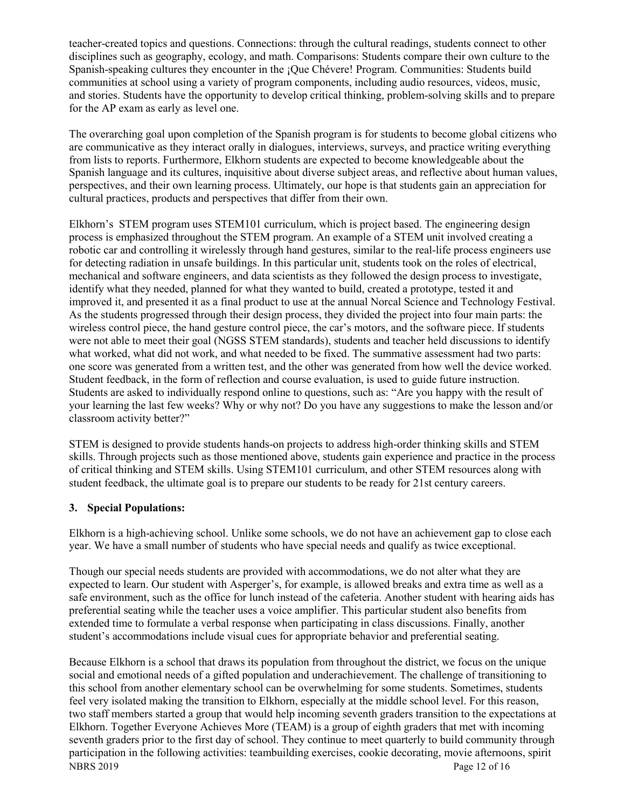teacher-created topics and questions. Connections: through the cultural readings, students connect to other disciplines such as geography, ecology, and math. Comparisons: Students compare their own culture to the Spanish-speaking cultures they encounter in the ¡Que Chévere! Program. Communities: Students build communities at school using a variety of program components, including audio resources, videos, music, and stories. Students have the opportunity to develop critical thinking, problem-solving skills and to prepare for the AP exam as early as level one.

The overarching goal upon completion of the Spanish program is for students to become global citizens who are communicative as they interact orally in dialogues, interviews, surveys, and practice writing everything from lists to reports. Furthermore, Elkhorn students are expected to become knowledgeable about the Spanish language and its cultures, inquisitive about diverse subject areas, and reflective about human values, perspectives, and their own learning process. Ultimately, our hope is that students gain an appreciation for cultural practices, products and perspectives that differ from their own.

Elkhorn's STEM program uses STEM101 curriculum, which is project based. The engineering design process is emphasized throughout the STEM program. An example of a STEM unit involved creating a robotic car and controlling it wirelessly through hand gestures, similar to the real-life process engineers use for detecting radiation in unsafe buildings. In this particular unit, students took on the roles of electrical, mechanical and software engineers, and data scientists as they followed the design process to investigate, identify what they needed, planned for what they wanted to build, created a prototype, tested it and improved it, and presented it as a final product to use at the annual Norcal Science and Technology Festival. As the students progressed through their design process, they divided the project into four main parts: the wireless control piece, the hand gesture control piece, the car's motors, and the software piece. If students were not able to meet their goal (NGSS STEM standards), students and teacher held discussions to identify what worked, what did not work, and what needed to be fixed. The summative assessment had two parts: one score was generated from a written test, and the other was generated from how well the device worked. Student feedback, in the form of reflection and course evaluation, is used to guide future instruction. Students are asked to individually respond online to questions, such as: "Are you happy with the result of your learning the last few weeks? Why or why not? Do you have any suggestions to make the lesson and/or classroom activity better?"

STEM is designed to provide students hands-on projects to address high-order thinking skills and STEM skills. Through projects such as those mentioned above, students gain experience and practice in the process of critical thinking and STEM skills. Using STEM101 curriculum, and other STEM resources along with student feedback, the ultimate goal is to prepare our students to be ready for 21st century careers.

# **3. Special Populations:**

Elkhorn is a high-achieving school. Unlike some schools, we do not have an achievement gap to close each year. We have a small number of students who have special needs and qualify as twice exceptional.

Though our special needs students are provided with accommodations, we do not alter what they are expected to learn. Our student with Asperger's, for example, is allowed breaks and extra time as well as a safe environment, such as the office for lunch instead of the cafeteria. Another student with hearing aids has preferential seating while the teacher uses a voice amplifier. This particular student also benefits from extended time to formulate a verbal response when participating in class discussions. Finally, another student's accommodations include visual cues for appropriate behavior and preferential seating.

NBRS 2019 Page 12 of 16 Because Elkhorn is a school that draws its population from throughout the district, we focus on the unique social and emotional needs of a gifted population and underachievement. The challenge of transitioning to this school from another elementary school can be overwhelming for some students. Sometimes, students feel very isolated making the transition to Elkhorn, especially at the middle school level. For this reason, two staff members started a group that would help incoming seventh graders transition to the expectations at Elkhorn. Together Everyone Achieves More (TEAM) is a group of eighth graders that met with incoming seventh graders prior to the first day of school. They continue to meet quarterly to build community through participation in the following activities: teambuilding exercises, cookie decorating, movie afternoons, spirit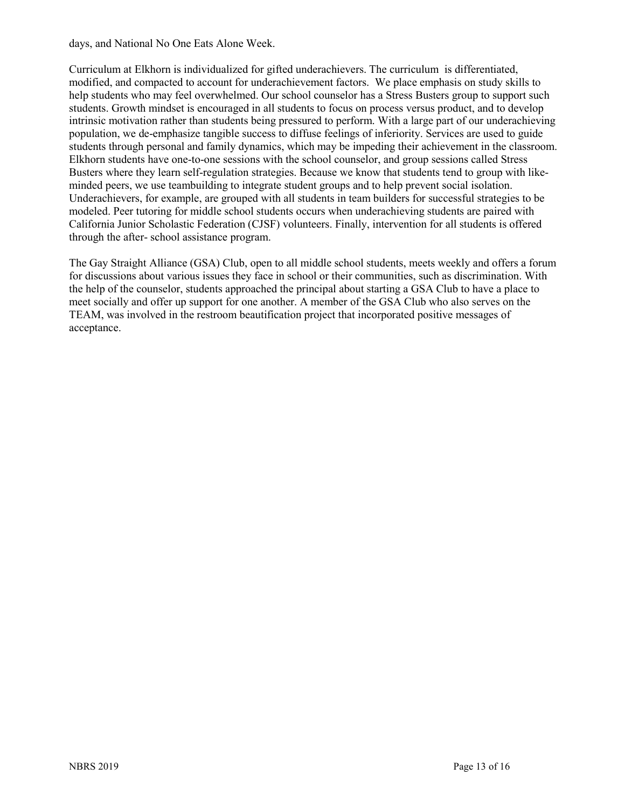days, and National No One Eats Alone Week.

Curriculum at Elkhorn is individualized for gifted underachievers. The curriculum is differentiated, modified, and compacted to account for underachievement factors. We place emphasis on study skills to help students who may feel overwhelmed. Our school counselor has a Stress Busters group to support such students. Growth mindset is encouraged in all students to focus on process versus product, and to develop intrinsic motivation rather than students being pressured to perform. With a large part of our underachieving population, we de-emphasize tangible success to diffuse feelings of inferiority. Services are used to guide students through personal and family dynamics, which may be impeding their achievement in the classroom. Elkhorn students have one-to-one sessions with the school counselor, and group sessions called Stress Busters where they learn self-regulation strategies. Because we know that students tend to group with likeminded peers, we use teambuilding to integrate student groups and to help prevent social isolation. Underachievers, for example, are grouped with all students in team builders for successful strategies to be modeled. Peer tutoring for middle school students occurs when underachieving students are paired with California Junior Scholastic Federation (CJSF) volunteers. Finally, intervention for all students is offered through the after- school assistance program.

The Gay Straight Alliance (GSA) Club, open to all middle school students, meets weekly and offers a forum for discussions about various issues they face in school or their communities, such as discrimination. With the help of the counselor, students approached the principal about starting a GSA Club to have a place to meet socially and offer up support for one another. A member of the GSA Club who also serves on the TEAM, was involved in the restroom beautification project that incorporated positive messages of acceptance.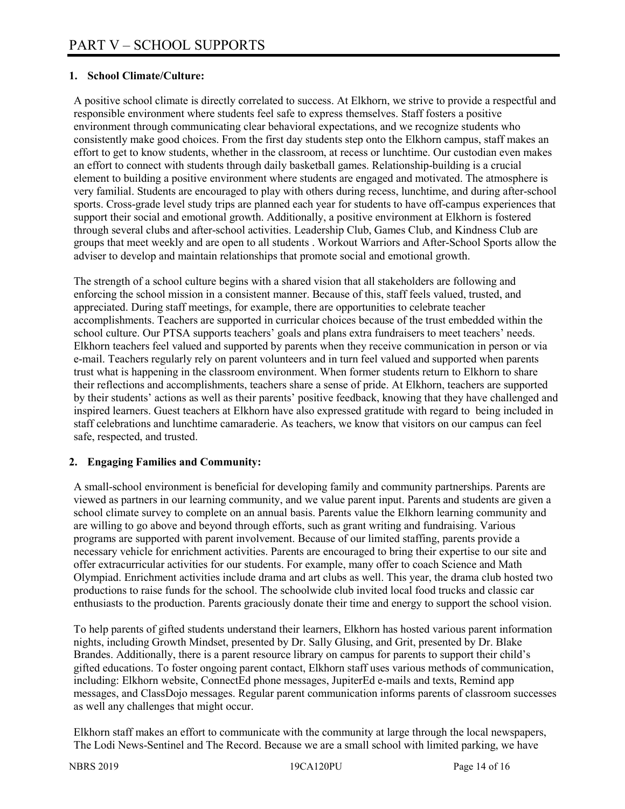## **1. School Climate/Culture:**

A positive school climate is directly correlated to success. At Elkhorn, we strive to provide a respectful and responsible environment where students feel safe to express themselves. Staff fosters a positive environment through communicating clear behavioral expectations, and we recognize students who consistently make good choices. From the first day students step onto the Elkhorn campus, staff makes an effort to get to know students, whether in the classroom, at recess or lunchtime. Our custodian even makes an effort to connect with students through daily basketball games. Relationship-building is a crucial element to building a positive environment where students are engaged and motivated. The atmosphere is very familial. Students are encouraged to play with others during recess, lunchtime, and during after-school sports. Cross-grade level study trips are planned each year for students to have off-campus experiences that support their social and emotional growth. Additionally, a positive environment at Elkhorn is fostered through several clubs and after-school activities. Leadership Club, Games Club, and Kindness Club are groups that meet weekly and are open to all students . Workout Warriors and After-School Sports allow the adviser to develop and maintain relationships that promote social and emotional growth.

The strength of a school culture begins with a shared vision that all stakeholders are following and enforcing the school mission in a consistent manner. Because of this, staff feels valued, trusted, and appreciated. During staff meetings, for example, there are opportunities to celebrate teacher accomplishments. Teachers are supported in curricular choices because of the trust embedded within the school culture. Our PTSA supports teachers' goals and plans extra fundraisers to meet teachers' needs. Elkhorn teachers feel valued and supported by parents when they receive communication in person or via e-mail. Teachers regularly rely on parent volunteers and in turn feel valued and supported when parents trust what is happening in the classroom environment. When former students return to Elkhorn to share their reflections and accomplishments, teachers share a sense of pride. At Elkhorn, teachers are supported by their students' actions as well as their parents' positive feedback, knowing that they have challenged and inspired learners. Guest teachers at Elkhorn have also expressed gratitude with regard to being included in staff celebrations and lunchtime camaraderie. As teachers, we know that visitors on our campus can feel safe, respected, and trusted.

#### **2. Engaging Families and Community:**

A small-school environment is beneficial for developing family and community partnerships. Parents are viewed as partners in our learning community, and we value parent input. Parents and students are given a school climate survey to complete on an annual basis. Parents value the Elkhorn learning community and are willing to go above and beyond through efforts, such as grant writing and fundraising. Various programs are supported with parent involvement. Because of our limited staffing, parents provide a necessary vehicle for enrichment activities. Parents are encouraged to bring their expertise to our site and offer extracurricular activities for our students. For example, many offer to coach Science and Math Olympiad. Enrichment activities include drama and art clubs as well. This year, the drama club hosted two productions to raise funds for the school. The schoolwide club invited local food trucks and classic car enthusiasts to the production. Parents graciously donate their time and energy to support the school vision.

To help parents of gifted students understand their learners, Elkhorn has hosted various parent information nights, including Growth Mindset, presented by Dr. Sally Glusing, and Grit, presented by Dr. Blake Brandes. Additionally, there is a parent resource library on campus for parents to support their child's gifted educations. To foster ongoing parent contact, Elkhorn staff uses various methods of communication, including: Elkhorn website, ConnectEd phone messages, JupiterEd e-mails and texts, Remind app messages, and ClassDojo messages. Regular parent communication informs parents of classroom successes as well any challenges that might occur.

Elkhorn staff makes an effort to communicate with the community at large through the local newspapers, The Lodi News-Sentinel and The Record. Because we are a small school with limited parking, we have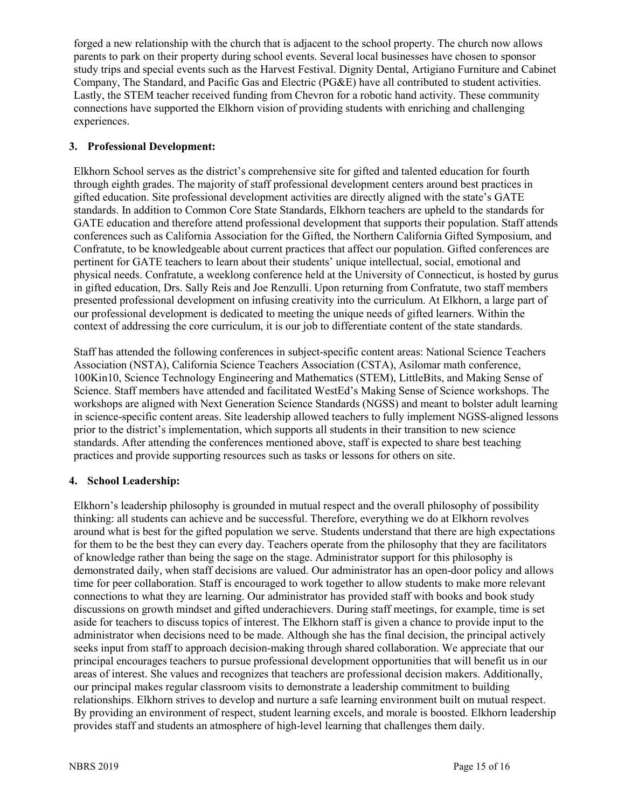forged a new relationship with the church that is adjacent to the school property. The church now allows parents to park on their property during school events. Several local businesses have chosen to sponsor study trips and special events such as the Harvest Festival. Dignity Dental, Artigiano Furniture and Cabinet Company, The Standard, and Pacific Gas and Electric (PG&E) have all contributed to student activities. Lastly, the STEM teacher received funding from Chevron for a robotic hand activity. These community connections have supported the Elkhorn vision of providing students with enriching and challenging experiences.

# **3. Professional Development:**

Elkhorn School serves as the district's comprehensive site for gifted and talented education for fourth through eighth grades. The majority of staff professional development centers around best practices in gifted education. Site professional development activities are directly aligned with the state's GATE standards. In addition to Common Core State Standards, Elkhorn teachers are upheld to the standards for GATE education and therefore attend professional development that supports their population. Staff attends conferences such as California Association for the Gifted, the Northern California Gifted Symposium, and Confratute, to be knowledgeable about current practices that affect our population. Gifted conferences are pertinent for GATE teachers to learn about their students' unique intellectual, social, emotional and physical needs. Confratute, a weeklong conference held at the University of Connecticut, is hosted by gurus in gifted education, Drs. Sally Reis and Joe Renzulli. Upon returning from Confratute, two staff members presented professional development on infusing creativity into the curriculum. At Elkhorn, a large part of our professional development is dedicated to meeting the unique needs of gifted learners. Within the context of addressing the core curriculum, it is our job to differentiate content of the state standards.

Staff has attended the following conferences in subject-specific content areas: National Science Teachers Association (NSTA), California Science Teachers Association (CSTA), Asilomar math conference, 100Kin10, Science Technology Engineering and Mathematics (STEM), LittleBits, and Making Sense of Science. Staff members have attended and facilitated WestEd's Making Sense of Science workshops. The workshops are aligned with Next Generation Science Standards (NGSS) and meant to bolster adult learning in science-specific content areas. Site leadership allowed teachers to fully implement NGSS-aligned lessons prior to the district's implementation, which supports all students in their transition to new science standards. After attending the conferences mentioned above, staff is expected to share best teaching practices and provide supporting resources such as tasks or lessons for others on site.

# **4. School Leadership:**

Elkhorn's leadership philosophy is grounded in mutual respect and the overall philosophy of possibility thinking: all students can achieve and be successful. Therefore, everything we do at Elkhorn revolves around what is best for the gifted population we serve. Students understand that there are high expectations for them to be the best they can every day. Teachers operate from the philosophy that they are facilitators of knowledge rather than being the sage on the stage. Administrator support for this philosophy is demonstrated daily, when staff decisions are valued. Our administrator has an open-door policy and allows time for peer collaboration. Staff is encouraged to work together to allow students to make more relevant connections to what they are learning. Our administrator has provided staff with books and book study discussions on growth mindset and gifted underachievers. During staff meetings, for example, time is set aside for teachers to discuss topics of interest. The Elkhorn staff is given a chance to provide input to the administrator when decisions need to be made. Although she has the final decision, the principal actively seeks input from staff to approach decision-making through shared collaboration. We appreciate that our principal encourages teachers to pursue professional development opportunities that will benefit us in our areas of interest. She values and recognizes that teachers are professional decision makers. Additionally, our principal makes regular classroom visits to demonstrate a leadership commitment to building relationships. Elkhorn strives to develop and nurture a safe learning environment built on mutual respect. By providing an environment of respect, student learning excels, and morale is boosted. Elkhorn leadership provides staff and students an atmosphere of high-level learning that challenges them daily.